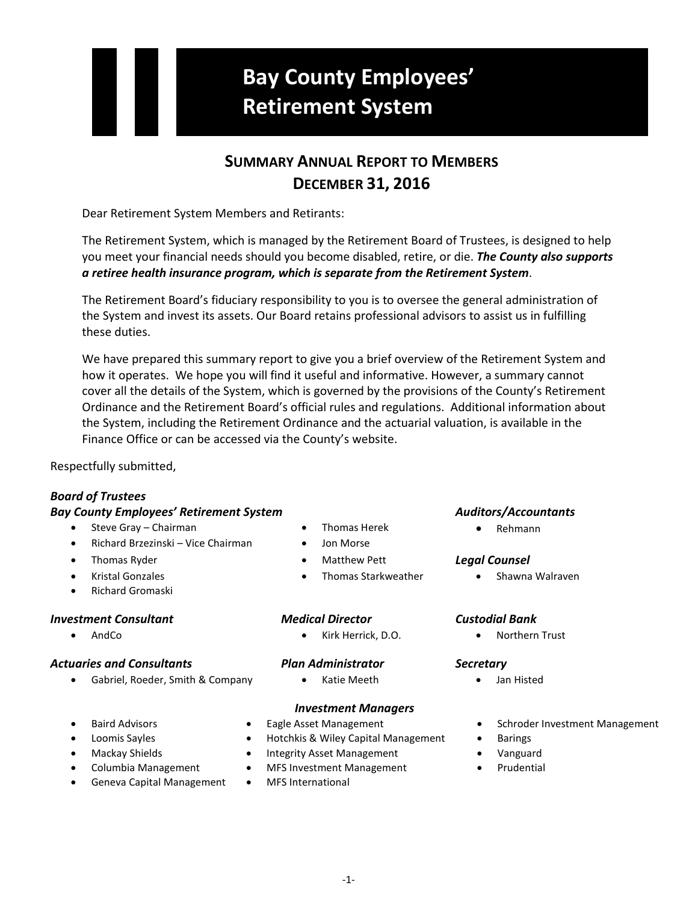# **Bay County Employees' Retirement System**

# **SUMMARY ANNUAL REPORT TO MEMBERS DECEMBER 31, 2016**

Dear Retirement System Members and Retirants:

The Retirement System, which is managed by the Retirement Board of Trustees, is designed to help you meet your financial needs should you become disabled, retire, or die. *The County also supports a retiree health insurance program, which is separate from the Retirement System*.

The Retirement Board's fiduciary responsibility to you is to oversee the general administration of the System and invest its assets. Our Board retains professional advisors to assist us in fulfilling these duties.

We have prepared this summary report to give you a brief overview of the Retirement System and how it operates. We hope you will find it useful and informative. However, a summary cannot cover all the details of the System, which is governed by the provisions of the County's Retirement Ordinance and the Retirement Board's official rules and regulations. Additional information about the System, including the Retirement Ordinance and the actuarial valuation, is available in the Finance Office or can be accessed via the County's website.

Respectfully submitted,

## *Board of Trustees*

## *Bay County Employees' Retirement System Auditors/Accountants*

- Steve Gray Chairman Thomas Herek Thomas Herek Rehmann
- Richard Brzezinski Vice Chairman Jon Morse
- 
- 
- Richard Gromaski

## *Investment Consultant Medical Director Custodial Bank*

## *Actuaries and Consultants Plan Administrator Secretary*

• Gabriel, Roeder, Smith & Company • Katie Meeth • Jan Histed

- 
- 
- Thomas Ryder Matthew Pett *Legal Counsel*
	-

• AndCo • Kirk Herrick, D.O. • Northern Trust

## *Investment Managers*

- 
- 
- 
- 
- Geneva Capital Management MFS International
- 
- Loomis Sayles Hotchkis & Wiley Capital Management Barings
- Mackay Shields Integrity Asset Management Vanguard
- Columbia Management MFS Investment Management Prudential
	-

• Kristal Gonzales • Thomas Starkweather • Shawna Walraven

- 
- Baird Advisors Eagle Asset Management Schroder Investment Management
	-
	-
	-
- 
- -
- -
-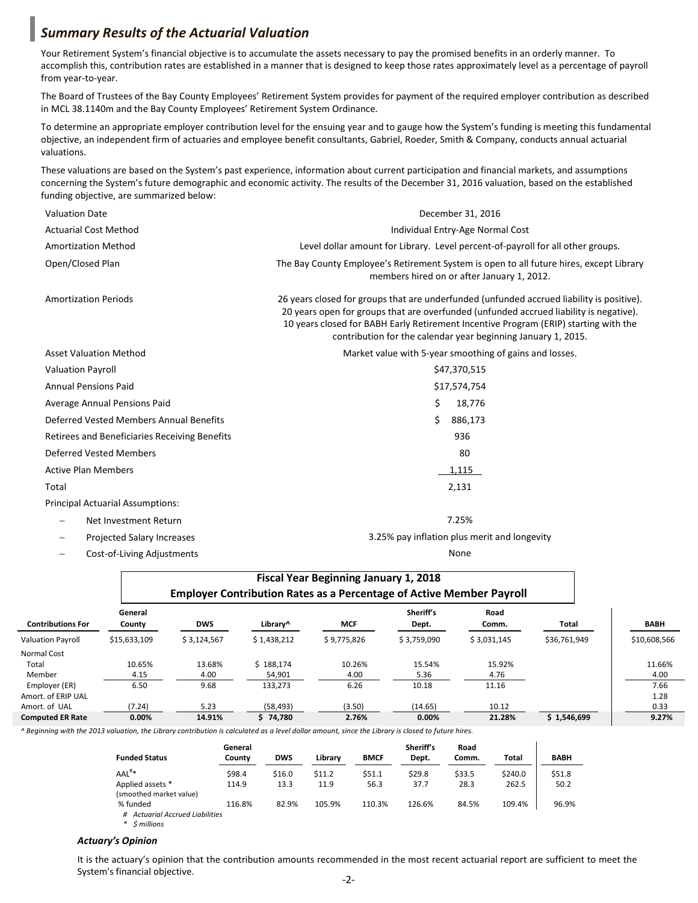## *Summary Results of the Actuarial Valuation*

Your Retirement System's financial objective is to accumulate the assets necessary to pay the promised benefits in an orderly manner. To accomplish this, contribution rates are established in a manner that is designed to keep those rates approximately level as a percentage of payroll from year-to-year.

The Board of Trustees of the Bay County Employees' Retirement System provides for payment of the required employer contribution as described in MCL 38.1140m and the Bay County Employees' Retirement System Ordinance.

To determine an appropriate employer contribution level for the ensuing year and to gauge how the System's funding is meeting this fundamental objective, an independent firm of actuaries and employee benefit consultants, Gabriel, Roeder, Smith & Company, conducts annual actuarial valuations.

These valuations are based on the System's past experience, information about current participation and financial markets, and assumptions concerning the System's future demographic and economic activity. The results of the December 31, 2016 valuation, based on the established funding objective, are summarized below:

| <b>Valuation Date</b>                         | December 31, 2016                                                                                                                                                                                                                                                                                                                            |  |  |  |
|-----------------------------------------------|----------------------------------------------------------------------------------------------------------------------------------------------------------------------------------------------------------------------------------------------------------------------------------------------------------------------------------------------|--|--|--|
| <b>Actuarial Cost Method</b>                  | Individual Entry-Age Normal Cost                                                                                                                                                                                                                                                                                                             |  |  |  |
| <b>Amortization Method</b>                    | Level dollar amount for Library. Level percent-of-payroll for all other groups.                                                                                                                                                                                                                                                              |  |  |  |
| Open/Closed Plan                              | The Bay County Employee's Retirement System is open to all future hires, except Library<br>members hired on or after January 1, 2012.                                                                                                                                                                                                        |  |  |  |
| <b>Amortization Periods</b>                   | 26 years closed for groups that are underfunded (unfunded accrued liability is positive).<br>20 years open for groups that are overfunded (unfunded accrued liability is negative).<br>10 years closed for BABH Early Retirement Incentive Program (ERIP) starting with the<br>contribution for the calendar year beginning January 1, 2015. |  |  |  |
| <b>Asset Valuation Method</b>                 | Market value with 5-year smoothing of gains and losses.                                                                                                                                                                                                                                                                                      |  |  |  |
| <b>Valuation Payroll</b>                      | \$47,370,515                                                                                                                                                                                                                                                                                                                                 |  |  |  |
| <b>Annual Pensions Paid</b>                   | \$17,574,754                                                                                                                                                                                                                                                                                                                                 |  |  |  |
| Average Annual Pensions Paid                  | Ś.<br>18,776                                                                                                                                                                                                                                                                                                                                 |  |  |  |
| Deferred Vested Members Annual Benefits       | Ś<br>886,173                                                                                                                                                                                                                                                                                                                                 |  |  |  |
| Retirees and Beneficiaries Receiving Benefits | 936                                                                                                                                                                                                                                                                                                                                          |  |  |  |
| <b>Deferred Vested Members</b>                | 80                                                                                                                                                                                                                                                                                                                                           |  |  |  |
| <b>Active Plan Members</b>                    | 1,115                                                                                                                                                                                                                                                                                                                                        |  |  |  |
| Total                                         | 2,131                                                                                                                                                                                                                                                                                                                                        |  |  |  |
| <b>Principal Actuarial Assumptions:</b>       |                                                                                                                                                                                                                                                                                                                                              |  |  |  |
| Net Investment Return<br>$\qquad \qquad -$    | 7.25%                                                                                                                                                                                                                                                                                                                                        |  |  |  |
| <b>Projected Salary Increases</b>             | 3.25% pay inflation plus merit and longevity                                                                                                                                                                                                                                                                                                 |  |  |  |

− Cost-of-Living Adjustments None

|                          | <b>Fiscal Year Beginning January 1, 2018</b><br><b>Employer Contribution Rates as a Percentage of Active Member Payroll</b> |             |             |             |                    |               |              |              |
|--------------------------|-----------------------------------------------------------------------------------------------------------------------------|-------------|-------------|-------------|--------------------|---------------|--------------|--------------|
| <b>Contributions For</b> | General<br>County                                                                                                           | <b>DWS</b>  | Library^    | <b>MCF</b>  | Sheriff's<br>Dept. | Road<br>Comm. | Total        | <b>BABH</b>  |
| <b>Valuation Payroll</b> | \$15,633,109                                                                                                                | \$3,124,567 | \$1,438,212 | \$9,775,826 | \$3,759,090        | \$3,031,145   | \$36,761,949 | \$10,608,566 |
| Normal Cost              |                                                                                                                             |             |             |             |                    |               |              |              |
| Total                    | 10.65%                                                                                                                      | 13.68%      | \$188.174   | 10.26%      | 15.54%             | 15.92%        |              | 11.66%       |
| Member                   | 4.15                                                                                                                        | 4.00        | 54.901      | 4.00        | 5.36               | 4.76          |              | 4.00         |
| Employer (ER)            | 6.50                                                                                                                        | 9.68        | 133,273     | 6.26        | 10.18              | 11.16         |              | 7.66         |
| Amort. of ERIP UAL       |                                                                                                                             |             |             |             |                    |               |              | 1.28         |
| Amort. of UAL            | (7.24)                                                                                                                      | 5.23        | (58, 493)   | (3.50)      | (14.65)            | 10.12         |              | 0.33         |
| <b>Computed ER Rate</b>  | 0.00%                                                                                                                       | 14.91%      | \$74,780    | 2.76%       | 0.00%              | 21.28%        | \$1,546,699  | 9.27%        |

*^ Beginning with the 2013 valuation, the Library contribution is calculated as a level dollar amount, since the Library is closed to future hires.*

| <b>Funded Status</b>                             | General<br>County | <b>DWS</b> | Librarv | <b>BMCF</b> | Sheriff's<br>Dept. | Road<br>Comm. | Total   | <b>BABH</b> |
|--------------------------------------------------|-------------------|------------|---------|-------------|--------------------|---------------|---------|-------------|
| AAL <sup>#*</sup>                                | \$98.4            | \$16.0     | \$11.2  | \$51.1      | \$29.8             | \$33.5        | \$240.0 | \$51.8      |
| Applied assets *<br>(smoothed market value)      | 114.9             | 13.3       | 11.9    | 56.3        | 37.7               | 28.3          | 262.5   | 50.2        |
| % funded<br><b>Actuarial Accrued Liabilities</b> | 116.8%            | 82.9%      | 105.9%  | 110.3%      | 126.6%             | 84.5%         | 109.4%  | 96.9%       |

*\* \$ millions*

## *Actuary's Opinion*

It is the actuary's opinion that the contribution amounts recommended in the most recent actuarial report are sufficient to meet the System's financial objective.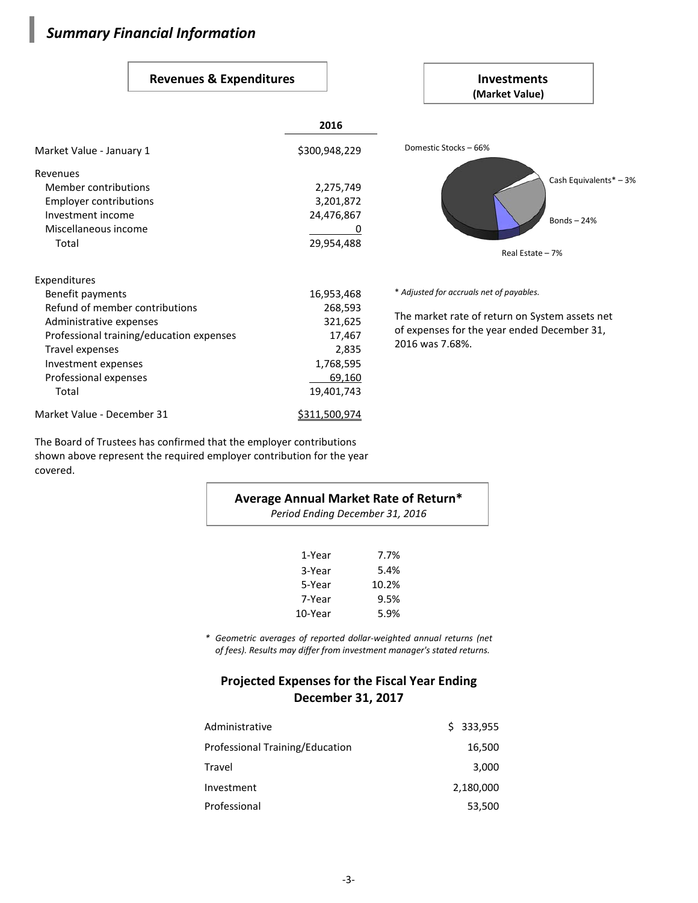# *Summary Financial Information*

I

## Revenues & Expenditures **Investments**

|                                                                                                                                                                                                                       |                                                                                          | (Market Value)                                                                                                                                               |  |  |  |
|-----------------------------------------------------------------------------------------------------------------------------------------------------------------------------------------------------------------------|------------------------------------------------------------------------------------------|--------------------------------------------------------------------------------------------------------------------------------------------------------------|--|--|--|
|                                                                                                                                                                                                                       | 2016                                                                                     |                                                                                                                                                              |  |  |  |
| Market Value - January 1                                                                                                                                                                                              | \$300,948,229                                                                            | Domestic Stocks - 66%                                                                                                                                        |  |  |  |
| Revenues<br>Member contributions<br>Employer contributions<br>Investment income<br>Miscellaneous income<br>Total                                                                                                      | 2,275,749<br>3,201,872<br>24,476,867<br>O<br>29,954,488                                  | Cash Equivalents* - 3%<br>Bonds- $24%$<br>Real Estate - 7%                                                                                                   |  |  |  |
| Expenditures<br>Benefit payments<br>Refund of member contributions<br>Administrative expenses<br>Professional training/education expenses<br>Travel expenses<br>Investment expenses<br>Professional expenses<br>Total | 16,953,468<br>268,593<br>321,625<br>17,467<br>2,835<br>1,768,595<br>69,160<br>19,401,743 | * Adjusted for accruals net of payables.<br>The market rate of return on System assets net<br>of expenses for the year ended December 31,<br>2016 was 7.68%. |  |  |  |
| Market Value - December 31                                                                                                                                                                                            | \$311,500,974                                                                            |                                                                                                                                                              |  |  |  |

The Board of Trustees has confirmed that the employer contributions shown above represent the required employer contribution for the year covered.

| Average Annual Market Rate of Return*<br>Period Ending December 31, 2016 |       |  |  |  |
|--------------------------------------------------------------------------|-------|--|--|--|
| 1-Year                                                                   | 7.7%  |  |  |  |
| 3-Year                                                                   | 5.4%  |  |  |  |
| 5-Year                                                                   | 10.2% |  |  |  |
| 7-Year                                                                   | 9.5%  |  |  |  |
| 10-Year                                                                  | 5.9%  |  |  |  |

*\* Geometric averages of reported dollar-weighted annual returns (net of fees). Results may differ from investment manager's stated returns.*

## **Projected Expenses for the Fiscal Year Ending December 31, 2017**

| Administrative                  | \$333,955 |
|---------------------------------|-----------|
| Professional Training/Education | 16,500    |
| Travel                          | 3,000     |
| Investment                      | 2,180,000 |
| Professional                    | 53,500    |